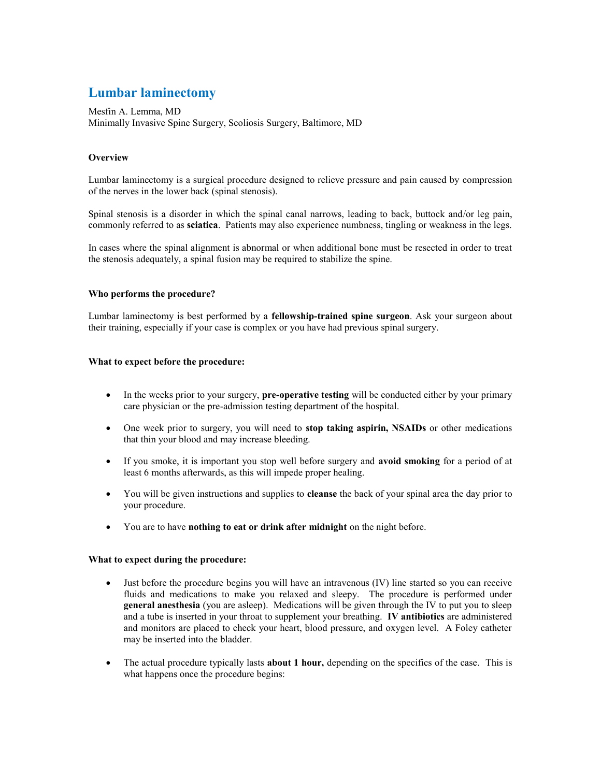# **Lumbar laminectomy**

Mesfin A. Lemma, MD Minimally Invasive Spine Surgery, Scoliosis Surgery, Baltimore, MD

# **Overview**

Lumbar laminectomy is a surgical procedure designed to relieve pressure and pain caused by compression of the nerves in the lower back (spinal stenosis).

Spinal stenosis is a disorder in which the spinal canal narrows, leading to back, buttock and/or leg pain, commonly referred to as **sciatica**. Patients may also experience numbness, tingling or weakness in the legs.

In cases where the spinal alignment is abnormal or when additional bone must be resected in order to treat the stenosis adequately, a spinal fusion may be required to stabilize the spine.

## **Who performs the procedure?**

Lumbar laminectomy is best performed by a **fellowship-trained spine surgeon**. Ask your surgeon about their training, especially if your case is complex or you have had previous spinal surgery.

## **What to expect before the procedure:**

- In the weeks prior to your surgery, **pre-operative testing** will be conducted either by your primary care physician or the pre-admission testing department of the hospital.
- One week prior to surgery, you will need to **stop taking aspirin, NSAIDs** or other medications that thin your blood and may increase bleeding.
- If you smoke, it is important you stop well before surgery and **avoid smoking** for a period of at least 6 months afterwards, as this will impede proper healing.
- You will be given instructions and supplies to **cleanse** the back of your spinal area the day prior to your procedure.
- You are to have **nothing to eat or drink after midnight** on the night before.

#### **What to expect during the procedure:**

- Just before the procedure begins you will have an intravenous (IV) line started so you can receive fluids and medications to make you relaxed and sleepy. The procedure is performed under **general anesthesia** (you are asleep). Medications will be given through the IV to put you to sleep and a tube is inserted in your throat to supplement your breathing. **IV antibiotics** are administered and monitors are placed to check your heart, blood pressure, and oxygen level. A Foley catheter may be inserted into the bladder.
- The actual procedure typically lasts **about 1 hour,** depending on the specifics of the case. This is what happens once the procedure begins: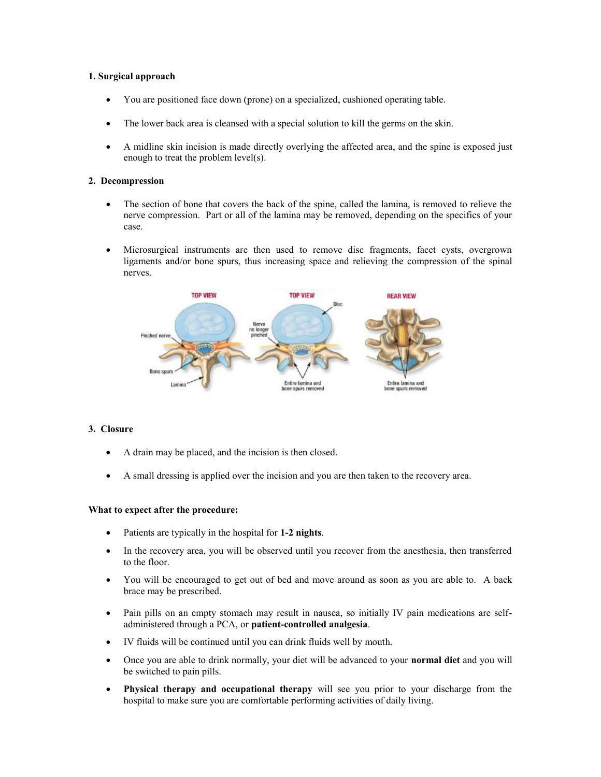## **1. Surgical approach**

- You are positioned face down (prone) on a specialized, cushioned operating table.
- The lower back area is cleansed with a special solution to kill the germs on the skin.
- A midline skin incision is made directly overlying the affected area, and the spine is exposed just enough to treat the problem level(s).

## **2. Decompression**

- The section of bone that covers the back of the spine, called the lamina, is removed to relieve the nerve compression. Part or all of the lamina may be removed, depending on the specifics of your case.
- Microsurgical instruments are then used to remove disc fragments, facet cysts, overgrown ligaments and/or bone spurs, thus increasing space and relieving the compression of the spinal nerves.



# **3. Closure**

- A drain may be placed, and the incision is then closed.
- A small dressing is applied over the incision and you are then taken to the recovery area.

#### **What to expect after the procedure:**

- Patients are typically in the hospital for **1-2 nights**.
- In the recovery area, you will be observed until you recover from the anesthesia, then transferred to the floor.
- You will be encouraged to get out of bed and move around as soon as you are able to. A back brace may be prescribed.
- Pain pills on an empty stomach may result in nausea, so initially IV pain medications are selfadministered through a PCA, or **patient-controlled analgesia**.
- IV fluids will be continued until you can drink fluids well by mouth.
- Once you are able to drink normally, your diet will be advanced to your **normal diet** and you will be switched to pain pills.
- **Physical therapy and occupational therapy** will see you prior to your discharge from the hospital to make sure you are comfortable performing activities of daily living.